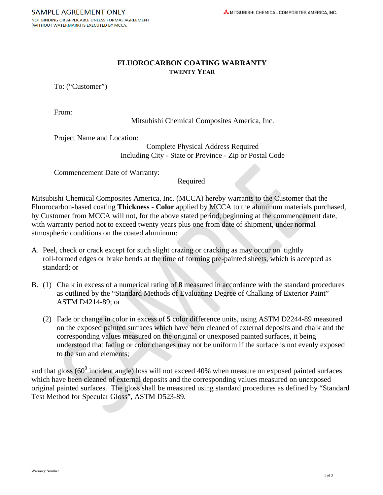## **FLUOROCARBON COATING WARRANTY TWENTY YEAR**

To: ("Customer")

From:

Mitsubishi Chemical Composites America, Inc.

Project Name and Location:

Complete Physical Address Required Including City - State or Province - Zip or Postal Code

Commencement Date of Warranty:

Required

Mitsubishi Chemical Composites America, Inc. (MCCA) hereby warrants to the Customer that the Fluorocarbon-based coating **Thickness - Color** applied by MCCA to the aluminum materials purchased, by Customer from MCCA will not, for the above stated period, beginning at the commencement date, with warranty period not to exceed twenty years plus one from date of shipment, under normal atmospheric conditions on the coated aluminum:

- A. Peel, check or crack except for such slight crazing or cracking as may occur on tightly roll-formed edges or brake bends at the time of forming pre-painted sheets, which is accepted as standard; or
- B. (1) Chalk in excess of a numerical rating of **8** measured in accordance with the standard procedures as outlined by the "Standard Methods of Evaluating Degree of Chalking of Exterior Paint" ASTM D4214-89; or
	- (2) Fade or change in color in excess of **5** color difference units, using ASTM D2244-89 measured on the exposed painted surfaces which have been cleaned of external deposits and chalk and the corresponding values measured on the original or unexposed painted surfaces, it being understood that fading or color changes may not be uniform if the surface is not evenly exposed to the sun and elements;

and that gloss ( $60^0$  incident angle) loss will not exceed 40% when measure on exposed painted surfaces which have been cleaned of external deposits and the corresponding values measured on unexposed original painted surfaces. The gloss shall be measured using standard procedures as defined by "Standard Test Method for Specular Gloss", ASTM D523-89.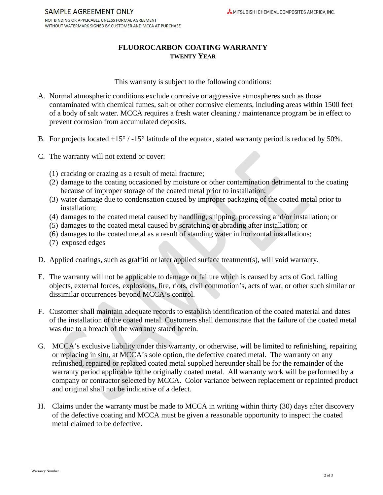## **FLUOROCARBON COATING WARRANTY TWENTY YEAR**

This warranty is subject to the following conditions:

- A. Normal atmospheric conditions exclude corrosive or aggressive atmospheres such as those contaminated with chemical fumes, salt or other corrosive elements, including areas within 1500 feet of a body of salt water. MCCA requires a fresh water cleaning / maintenance program be in effect to prevent corrosion from accumulated deposits.
- B. For projects located  $+15^{\circ}$  / -15° latitude of the equator, stated warranty period is reduced by 50%.
- C. The warranty will not extend or cover:
	- (1) cracking or crazing as a result of metal fracture;
	- (2) damage to the coating occasioned by moisture or other contamination detrimental to the coating because of improper storage of the coated metal prior to installation;
	- (3) water damage due to condensation caused by improper packaging of the coated metal prior to installation;
	- (4) damages to the coated metal caused by handling, shipping, processing and/or installation; or
	- (5) damages to the coated metal caused by scratching or abrading after installation; or
	- (6) damages to the coated metal as a result of standing water in horizontal installations;
	- (7) exposed edges
- D. Applied coatings, such as graffiti or later applied surface treatment(s), will void warranty.
- E. The warranty will not be applicable to damage or failure which is caused by acts of God, falling objects, external forces, explosions, fire, riots, civil commotion's, acts of war, or other such similar or dissimilar occurrences beyond MCCA's control.
- F. Customer shall maintain adequate records to establish identification of the coated material and dates of the installation of the coated metal. Customers shall demonstrate that the failure of the coated metal was due to a breach of the warranty stated herein.
- G. MCCA's exclusive liability under this warranty, or otherwise, will be limited to refinishing, repairing or replacing in situ, at MCCA's sole option, the defective coated metal. The warranty on any refinished, repaired or replaced coated metal supplied hereunder shall be for the remainder of the warranty period applicable to the originally coated metal. All warranty work will be performed by a company or contractor selected by MCCA. Color variance between replacement or repainted product and original shall not be indicative of a defect.
- H. Claims under the warranty must be made to MCCA in writing within thirty (30) days after discovery of the defective coating and MCCA must be given a reasonable opportunity to inspect the coated metal claimed to be defective.